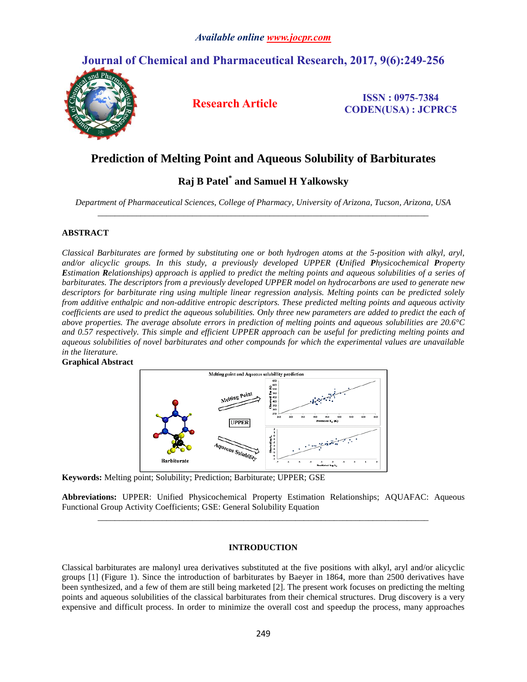# **Journal of Chemical and Pharmaceutical Research, 2017, 9(6):249-256**



**Research Article ISSN : 0975-7384 CODEN(USA) : JCPRC5**

# **Prediction of Melting Point and Aqueous Solubility of Barbiturates**

# **Raj B Patel\* and Samuel H Yalkowsky**

*Department of Pharmaceutical Sciences, College of Pharmacy, University of Arizona, Tucson, Arizona, USA \_\_\_\_\_\_\_\_\_\_\_\_\_\_\_\_\_\_\_\_\_\_\_\_\_\_\_\_\_\_\_\_\_\_\_\_\_\_\_\_\_\_\_\_\_\_\_\_\_\_\_\_\_\_\_\_\_\_\_\_\_\_\_\_\_\_\_\_\_\_\_\_\_\_\_\_\_*

# **ABSTRACT**

*Classical Barbiturates are formed by substituting one or both hydrogen atoms at the 5-position with alkyl, aryl, and/or alicyclic groups. In this study, a previously developed UPPER (Unified Physicochemical Property Estimation Relationships) approach is applied to predict the melting points and aqueous solubilities of a series of barbiturates. The descriptors from a previously developed UPPER model on hydrocarbons are used to generate new descriptors for barbiturate ring using multiple linear regression analysis. Melting points can be predicted solely from additive enthalpic and non-additive entropic descriptors. These predicted melting points and aqueous activity coefficients are used to predict the aqueous solubilities. Only three new parameters are added to predict the each of above properties. The average absolute errors in prediction of melting points and aqueous solubilities are 20.6°C and 0.57 respectively. This simple and efficient UPPER approach can be useful for predicting melting points and aqueous solubilities of novel barbiturates and other compounds for which the experimental values are unavailable in the literature.* 





**Keywords:** Melting point; Solubility; Prediction; Barbiturate; UPPER; GSE

**Abbreviations:** UPPER: Unified Physicochemical Property Estimation Relationships; AQUAFAC: Aqueous Functional Group Activity Coefficients; GSE: General Solubility Equation *\_\_\_\_\_\_\_\_\_\_\_\_\_\_\_\_\_\_\_\_\_\_\_\_\_\_\_\_\_\_\_\_\_\_\_\_\_\_\_\_\_\_\_\_\_\_\_\_\_\_\_\_\_\_\_\_\_\_\_\_\_\_\_\_\_\_\_\_\_\_\_\_\_\_\_\_\_*

# **INTRODUCTION**

Classical barbiturates are malonyl urea derivatives substituted at the five positions with alkyl, aryl and/or alicyclic groups [1] (Figure 1). Since the introduction of barbiturates by Baeyer in 1864, more than 2500 derivatives have been synthesized, and a few of them are still being marketed [2]. The present work focuses on predicting the melting points and aqueous solubilities of the classical barbiturates from their chemical structures. Drug discovery is a very expensive and difficult process. In order to minimize the overall cost and speedup the process, many approaches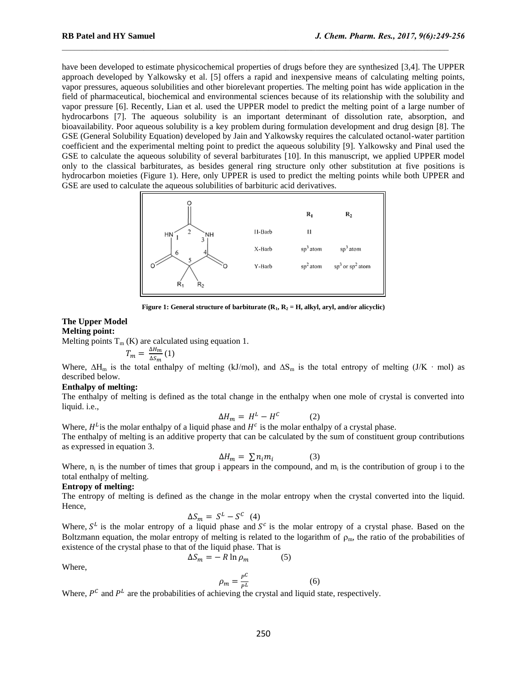have been developed to estimate physicochemical properties of drugs before they are synthesized [3,4]. The UPPER approach developed by Yalkowsky et al. [5] offers a rapid and inexpensive means of calculating melting points, vapor pressures, aqueous solubilities and other biorelevant properties. The melting point has wide application in the field of pharmaceutical, biochemical and environmental sciences because of its relationship with the solubility and vapor pressure [6]. Recently, Lian et al. used the UPPER model to predict the melting point of a large number of hydrocarbons [7]. The aqueous solubility is an important determinant of dissolution rate, absorption, and bioavailability. Poor aqueous solubility is a key problem during formulation development and drug design [8]. The GSE (General Solubility Equation) developed by Jain and Yalkowsky requires the calculated octanol-water partition coefficient and the experimental melting point to predict the aqueous solubility [9]. Yalkowsky and Pinal used the GSE to calculate the aqueous solubility of several barbiturates [10]. In this manuscript, we applied UPPER model only to the classical barbiturates, as besides general ring structure only other substitution at five positions is hydrocarbon moieties (Figure 1). Here, only UPPER is used to predict the melting points while both UPPER and GSE are used to calculate the aqueous solubilities of barbituric acid derivatives.

 $\mathcal{L}_\text{max}$ 



**Figure** 1: General structure of barbiturate  $(R_1, R_2 = H, \text{alkyl}, \text{aryl}, \text{and/or alive})$ 

### **The Upper Model Melting point:**

Melting points  $T_m$  (K) are calculated using equation 1.

$$
T_m = \frac{\Delta H_m}{\Delta S_m} (1)
$$

Where,  $\Delta H_m$  is the total enthalpy of melting (kJ/mol), and  $\Delta S_m$  is the total entropy of melting (J/K ⋅ mol) as described below.

## **Enthalpy of melting:**

The enthalpy of melting is defined as the total change in the enthalpy when one mole of crystal is converted into liquid. i.e.,

$$
\Delta H_m = H^L - H^C \tag{2}
$$

Where,  $H^L$  is the molar enthalpy of a liquid phase and  $H^c$  is the molar enthalpy of a crystal phase. The enthalpy of melting is an additive property that can be calculated by the sum of constituent group contributions as expressed in equation 3.

$$
\Delta H_m = \sum n_i m_i \tag{3}
$$

Where,  $n_i$  is the number of times that group  $i$  appears in the compound, and  $m_i$  is the contribution of group i to the total enthalpy of melting.

## **Entropy of melting:**

The entropy of melting is defined as the change in the molar entropy when the crystal converted into the liquid. Hence,

$$
\Delta S_m = S^L - S^C \quad (4)
$$

Where,  $S<sup>L</sup>$  is the molar entropy of a liquid phase and  $S<sup>c</sup>$  is the molar entropy of a crystal phase. Based on the Boltzmann equation, the molar entropy of melting is related to the logarithm of  $\rho_m$ , the ratio of the probabilities of existence of the crystal phase to that of the liquid phase. That is

$$
\Delta S_m = -R \ln \rho_m \tag{5}
$$

Where,

$$
\rho_m = \frac{P^C}{P^L} \tag{6}
$$

Where,  $P^C$  and  $P^L$  are the probabilities of achieving the crystal and liquid state, respectively.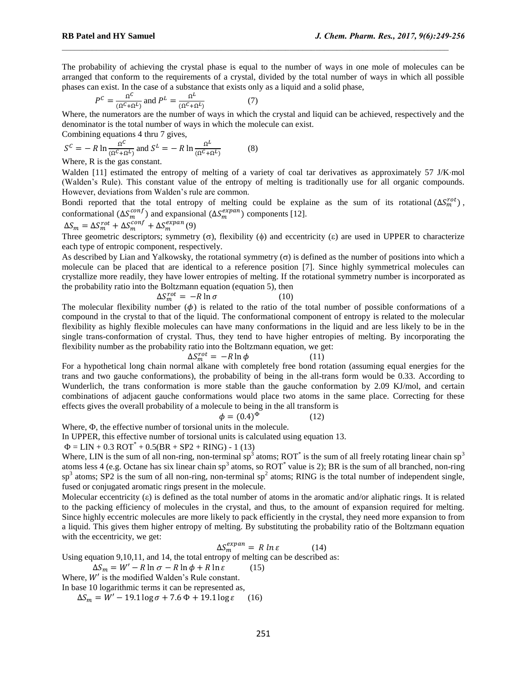The probability of achieving the crystal phase is equal to the number of ways in one mole of molecules can be arranged that conform to the requirements of a crystal, divided by the total number of ways in which all possible phases can exist. In the case of a substance that exists only as a liquid and a solid phase,

 $\mathcal{L}_\text{max}$ 

$$
P^{C} = \frac{\Omega^{C}}{(\Omega^{C} + \Omega^{L})} \text{ and } P^{L} = \frac{\Omega^{L}}{(\Omega^{C} + \Omega^{L})}
$$
(7)

Where, the numerators are the number of ways in which the crystal and liquid can be achieved, respectively and the denominator is the total number of ways in which the molecule can exist.

Combining equations 4 thru 7 gives,

$$
S^{C} = -R \ln \frac{\Omega^{C}}{(\Omega^{C} + \Omega^{L})} \text{ and } S^{L} = -R \ln \frac{\Omega^{L}}{(\Omega^{C} + \Omega^{L})}
$$
(8)

Where, R is the gas constant.

Walden [11] estimated the entropy of melting of a variety of coal tar derivatives as approximately 57 J/K·mol (Walden's Rule). This constant value of the entropy of melting is traditionally use for all organic compounds. However, deviations from Walden's rule are common.

Bondi reported that the total entropy of melting could be explaine as the sum of its rotational  $(\Delta S_m^{rot})$ , conformational  $(\Delta S_m^{conf})$  and expansional  $(\Delta S_m^{expan})$  components [12].

$$
\Delta S_m = \Delta S_m^{rot} + \Delta S_m^{conf} + \Delta S_m^{expan}(9)
$$

Three geometric descriptors; symmetry  $(\sigma)$ , flexibility  $(\phi)$  and eccentricity  $(\epsilon)$  are used in UPPER to characterize each type of entropic component, respectively.

As described by Lian and Yalkowsky, the rotational symmetry  $(\sigma)$  is defined as the number of positions into which a molecule can be placed that are identical to a reference position [7]. Since highly symmetrical molecules can crystallize more readily, they have lower entropies of melting. If the rotational symmetry number is incorporated as the probability ratio into the Boltzmann equation (equation 5), then

$$
\Delta S_m^{rot} = -R \ln \sigma \tag{10}
$$

The molecular flexibility number  $(\phi)$  is related to the ratio of the total number of possible conformations of a compound in the crystal to that of the liquid. The conformational component of entropy is related to the molecular flexibility as highly flexible molecules can have many conformations in the liquid and are less likely to be in the single trans-conformation of crystal. Thus, they tend to have higher entropies of melting. By incorporating the flexibility number as the probability ratio into the Boltzmann equation, we get:

$$
\Delta S_m^{rot} = -R \ln \phi \tag{11}
$$

For a hypothetical long chain normal alkane with completely free bond rotation (assuming equal energies for the trans and two gauche conformations), the probability of being in the all-trans form would be 0.33. According to Wunderlich, the trans conformation is more stable than the gauche conformation by 2.09 KJ/mol, and certain combinations of adjacent gauche conformations would place two atoms in the same place. Correcting for these effects gives the overall probability of a molecule to being in the all transform is

$$
\phi = (0.4)^{\Phi} \tag{12}
$$

Where,  $\Phi$ , the effective number of torsional units in the molecule.

In UPPER, this effective number of torsional units is calculated using equation 13.

$$
\Phi = \text{LIN} + 0.3 \text{ROT}^* + 0.5(\text{BR} + \text{SP2} + \text{RING}) - 1 (13)
$$

Where, LIN is the sum of all non-ring, non-terminal sp<sup>3</sup> atoms; ROT<sup>\*</sup> is the sum of all freely rotating linear chain sp<sup>3</sup> atoms less 4 (e.g. Octane has six linear chain sp<sup>3</sup> atoms, so  $ROT^*$  value is 2); BR is the sum of all branched, non-ring  $sp<sup>3</sup>$  atoms; SP2 is the sum of all non-ring, non-terminal sp<sup>2</sup> atoms; RING is the total number of independent single, fused or conjugated aromatic rings present in the molecule.

Molecular eccentricity  $(\epsilon)$  is defined as the total number of atoms in the aromatic and/or aliphatic rings. It is related to the packing efficiency of molecules in the crystal, and thus, to the amount of expansion required for melting. Since highly eccentric molecules are more likely to pack efficiently in the crystal, they need more expansion to from a liquid. This gives them higher entropy of melting. By substituting the probability ratio of the Boltzmann equation with the eccentricity, we get:

$$
\Delta S_m^{expan} = R \ln \varepsilon \tag{14}
$$

Using equation 9,10,11, and 14, the total entropy of melting can be described as:

 $\Delta S_m = W' - R \ln \sigma - R \ln \phi + R \ln \varepsilon$  (15)

Where,  $W'$  is the modified Walden's Rule constant.

In base 10 logarithmic terms it can be represented as,

 $\Delta S_m = W' - 19.1 \log \sigma + 7.6 \Phi + 19.1 \log \varepsilon$  (16)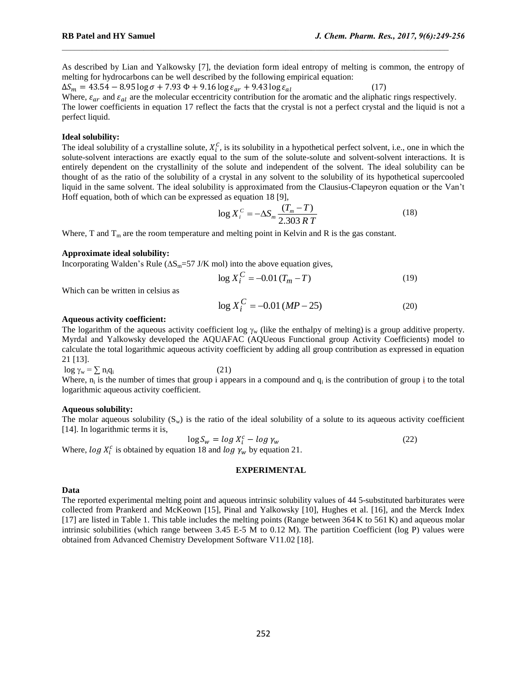As described by Lian and Yalkowsky [7], the deviation form ideal entropy of melting is common, the entropy of melting for hydrocarbons can be well described by the following empirical equation:

 $\mathcal{L}_\text{max}$ 

 $\Delta S_m = 43.54 - 8.95 \log \sigma + 7.93 \Phi + 9.16 \log \varepsilon_{ar} + 9.43 \log \varepsilon_{al}$  (17) Where,  $\varepsilon_{ar}$  and  $\varepsilon_{al}$  are the molecular eccentricity contribution for the aromatic and the aliphatic rings respectively. The lower coefficients in equation 17 reflect the facts that the crystal is not a perfect crystal and the liquid is not a perfect liquid.

### **Ideal solubility:**

The ideal solubility of a crystalline solute,  $X_i^C$ , is its solubility in a hypothetical perfect solvent, i.e., one in which the solute-solvent interactions are exactly equal to the sum of the solute-solute and solvent-solvent interactions. It is entirely dependent on the crystallinity of the solute and independent of the solvent. The ideal solubility can be thought of as the ratio of the solubility of a crystal in any solvent to the solubility of its hypothetical supercooled liquid in the same solvent. The ideal solubility is approximated from the Clausius-Clapeyron equation or the Van't Hoff equation, both of which can be expressed as equation 18 [9],

$$
\log X_i^C = -\Delta S_m \frac{(T_m - T)}{2.303 RT}
$$
 (18)

Where, T and  $T_m$  are the room temperature and melting point in Kelvin and R is the gas constant.

#### **Approximate ideal solubility:**

Incorporating Walden's Rule  $(\Delta S_m = 57 \text{ J/K mol})$  into the above equation gives,

$$
\log X_i^C = -0.01 \, (T_m - T) \tag{19}
$$

Which can be written in celsius as

$$
\log X_i^C = -0.01 \, (MP - 25) \tag{20}
$$

#### **Aqueous activity coefficient:**

The logarithm of the aqueous activity coefficient log  $\gamma_w$  (like the enthalpy of melting) is a group additive property. Myrdal and Yalkowsky developed the AQUAFAC (AQUeous Functional group Activity Coefficients) model to calculate the total logarithmic aqueous activity coefficient by adding all group contribution as expressed in equation 21 [13].

 $\log \gamma_w = \sum n_i q_i$  (21)

Where,  $n_i$  is the number of times that group i appears in a compound and  $q_i$  is the contribution of group  $i$  to the total logarithmic aqueous activity coefficient.

#### **Aqueous solubility:**

The molar aqueous solubility  $(S_w)$  is the ratio of the ideal solubility of a solute to its aqueous activity coefficient [14]. In logarithmic terms it is,

$$
\log S_w = \log X_i^c - \log \gamma_w \tag{22}
$$

Where,  $\log X_i^c$  is obtained by equation 18 and  $\log \gamma_w$  by equation 21.

# **EXPERIMENTAL**

#### **Data**

The reported experimental melting point and aqueous intrinsic solubility values of 44 5-substituted barbiturates were collected from Prankerd and McKeown [15], Pinal and Yalkowsky [10], Hughes et al. [16], and the Merck Index [17] are listed in Table 1. This table includes the melting points (Range between 364 K to 561 K) and aqueous molar intrinsic solubilities (which range between 3.45 E-5 M to 0.12 M). The partition Coefficient (log P) values were obtained from Advanced Chemistry Development Software V11.02 [18].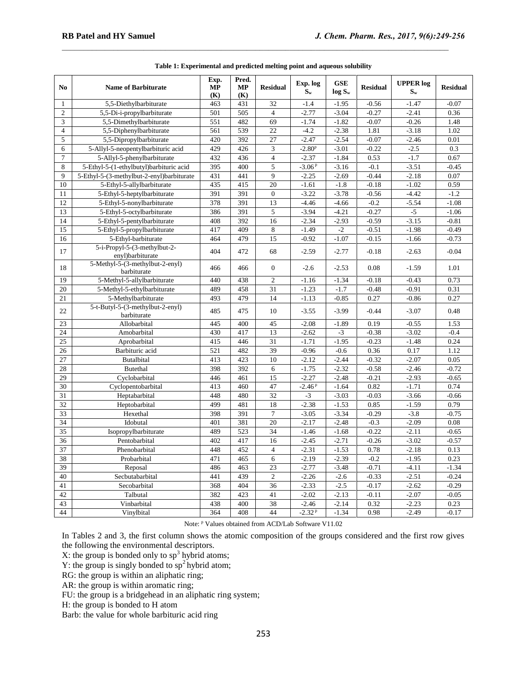| N <sub>0</sub>          | <b>Name of Barbiturate</b>                       | Exp.<br><b>MP</b><br>(K) | Pred.<br><b>MP</b><br>(K) | <b>Residual</b>  | Exp. log<br>$S_{w}$ | <b>GSE</b><br>$log S_w$ | <b>Residual</b> | <b>UPPER</b> log<br>$S_{w}$ | <b>Residual</b> |
|-------------------------|--------------------------------------------------|--------------------------|---------------------------|------------------|---------------------|-------------------------|-----------------|-----------------------------|-----------------|
| $\mathbf{1}$            | 5,5-Diethylbarbiturate                           | 463                      | 431                       | 32               | $-1.4$              | $-1.95$                 | $-0.56$         | $-1.47$                     | $-0.07$         |
| $\mathbf{2}$            | 5,5-Di-i-propylbarbiturate                       | 501                      | 505                       | $\overline{4}$   | $-2.77$             | $-3.04$                 | $-0.27$         | $-2.41$                     | 0.36            |
| 3                       | 5,5-Dimethylbarbiturate                          | 551                      | 482                       | 69               | $-1.74$             | $-1.82$                 | $-0.07$         | $-0.26$                     | 1.48            |
| $\overline{\mathbf{4}}$ | 5,5-Diphenylbarbiturate                          | 561                      | 539                       | 22               | $-4.2$              | $-2.38$                 | 1.81            | $-3.18$                     | 1.02            |
| 5                       | 5,5-Dipropylbarbiturate                          | 420                      | 392                       | 27               | $-2.47$             | $-2.54$                 | $-0.07$         | $-2.46$                     | 0.01            |
| 6                       | 5-Allyl-5-neopentylbarbituric acid               | 429                      | 426                       | 3                | $-2.80^{p}$         | $-3.01$                 | $-0.22$         | $-2.5$                      | 0.3             |
| $\overline{7}$          | 5-Allyl-5-phenylbarbiturate                      | 432                      | 436                       | $\overline{4}$   | $-2.37$             | $-1.84$                 | 0.53            | $-1.7$                      | 0.67            |
| 8                       | 5-Ethyl-5-(1-ethylbutyl)barbituric acid          | 395                      | 400                       | 5                | $-3.06P$            | $-3.16$                 | $-0.1$          | $-3.51$                     | $-0.45$         |
| 9                       | 5-Ethyl-5-(3-methylbut-2-enyl)barbiturate        | 431                      | 441                       | 9                | $-2.25$             | $-2.69$                 | $-0.44$         | $-2.18$                     | 0.07            |
| 10                      | 5-Ethyl-5-allylbarbiturate                       | 435                      | 415                       | 20               | $-1.61$             | $-1.8$                  | $-0.18$         | $-1.02$                     | 0.59            |
| 11                      | 5-Ethyl-5-heptylbarbiturate                      | 391                      | 391                       | $\boldsymbol{0}$ | $-3.22$             | $-3.78$                 | $-0.56$         | $-4.42$                     | $-1.2$          |
| 12                      | 5-Ethyl-5-nonylbarbiturate                       | 378                      | 391                       | 13               | $-4.46$             | $-4.66$                 | $-0.2$          | $-5.54$                     | $-1.08$         |
| 13                      | 5-Ethyl-5-octylbarbiturate                       | 386                      | 391                       | 5                | $-3.94$             | $-4.21$                 | $-0.27$         | $-5$                        | $-1.06$         |
| 14                      | 5-Ethyl-5-pentylbarbiturate                      | 408                      | 392                       | 16               | $-2.34$             | $-2.93$                 | $-0.59$         | $-3.15$                     | $-0.81$         |
| 15                      | 5-Ethyl-5-propylbarbiturate                      | 417                      | 409                       | $\,8\,$          | $-1.49$             | $-2$                    | $-0.51$         | $-1.98$                     | $-0.49$         |
| 16                      | 5-Ethyl-barbiturate                              | 464                      | 479                       | 15               | $-0.92$             | $-1.07$                 | $-0.15$         | $-1.66$                     | $-0.73$         |
| 17                      | 5-i-Propyl-5-(3-methylbut-2-<br>enyl)barbiturate | 404                      | 472                       | 68               | $-2.59$             | $-2.77$                 | $-0.18$         | $-2.63$                     | $-0.04$         |
| 18                      | 5-Methyl-5-(3-methylbut-2-enyl)<br>barbiturate   | 466                      | 466                       | $\boldsymbol{0}$ | $-2.6$              | $-2.53$                 | 0.08            | $-1.59$                     | 1.01            |
| 19                      | 5-Methyl-5-allylbarbiturate                      | 440                      | 438                       | $\overline{c}$   | $-1.16$             | $-1.34$                 | $-0.18$         | $-0.43$                     | 0.73            |
| 20                      | 5-Methyl-5-ethylbarbiturate                      | 489                      | 458                       | 31               | $-1.23$             | $-1.7$                  | $-0.48$         | $-0.91$                     | 0.31            |
| 21                      | 5-Methylbarbiturate                              | 493                      | 479                       | 14               | $-1.13$             | $-0.85$                 | 0.27            | $-0.86$                     | 0.27            |
| 22                      | 5-t-Butyl-5-(3-methylbut-2-enyl)<br>barbiturate  | 485                      | 475                       | 10               | $-3.55$             | $-3.99$                 | $-0.44$         | $-3.07$                     | 0.48            |
| 23                      | Allobarbital                                     | 445                      | 400                       | 45               | $-2.08$             | $-1.89$                 | 0.19            | $-0.55$                     | 1.53            |
| 24                      | Amobarbital                                      | 430                      | 417                       | 13               | $-2.62$             | $-3$                    | $-0.38$         | $-3.02$                     | $-0.4$          |
| 25                      | Aprobarbital                                     | 415                      | 446                       | 31               | $-1.71$             | $-1.95$                 | $-0.23$         | $-1.48$                     | 0.24            |
| 26                      | Barbituric acid                                  | 521                      | 482                       | 39               | $-0.96$             | $-0.6$                  | 0.36            | 0.17                        | 1.12            |
| 27                      | <b>Butalbital</b>                                | 413                      | 423                       | 10               | $-2.12$             | $-2.44$                 | $-0.32$         | $-2.07$                     | 0.05            |
| 28                      | Butethal                                         | 398                      | 392                       | 6                | $-1.75$             | $-2.32$                 | $-0.58$         | $-2.46$                     | $-0.72$         |
| 29                      | Cyclobarbital                                    | 446                      | 461                       | 15               | $-2.27$             | $-2.48$                 | $-0.21$         | $-2.93$                     | $-0.65$         |
| 30                      | Cyclopentobarbital                               | 413                      | 460                       | 47               | $-2.46P$            | $-1.64$                 | 0.82            | $-1.71$                     | 0.74            |
| 31                      | Heptabarbital                                    | 448                      | 480                       | 32               | $-3$                | $-3.03$                 | $-0.03$         | $-3.66$                     | $-0.66$         |
| 32                      | Heptobarbital                                    | 499                      | 481                       | 18               | $-2.38$             | $-1.53$                 | 0.85            | $-1.59$                     | 0.79            |
| 33                      | Hexethal                                         | 398                      | 391                       | $\tau$           | $-3.05$             | $-3.34$                 | $-0.29$         | $-3.8$                      | $-0.75$         |
| 34                      | Idobutal                                         | 401                      | 381                       | $\overline{20}$  | $-2.17$             | $-2.48$                 | $-0.3$          | $-2.09$                     | 0.08            |
| 35                      | Isopropylbarbiturate                             | 489                      | 523                       | 34               | $-1.46$             | $-1.68$                 | $-0.22$         | $-2.11$                     | $-0.65$         |
| 36                      | Pentobarbital                                    | 402                      | 417                       | 16               | $-2.45$             | $-2.71$                 | $-0.26$         | $-3.02$                     | $-0.57$         |
| 37                      | Phenobarbital                                    | 448                      | 452                       | $\overline{4}$   | $-2.31$             | $-1.53$                 | 0.78            | $-2.18$                     | 0.13            |
| 38                      | Probarbital                                      | 471                      | 465                       | 6                | $-2.19$             | $-2.39$                 | $-0.2$          | $-1.95$                     | 0.23            |
| 39                      | Reposal                                          | 486                      | 463                       | 23               | $-2.77$             | $-3.48$                 | $-0.71$         | $-4.11$                     | $-1.34$         |
| 40                      | Secbutabarbital                                  | 441                      | 439                       | $\overline{2}$   | $-2.26$             | $-2.6$                  | $-0.33$         | $-2.51$                     | $-0.24$         |
| 41                      | Secobarbital                                     | 368                      | 404                       | 36               | $-2.33$             | $-2.5$                  | $-0.17$         | $-2.62$                     | $-0.29$         |
| 42                      | Talbutal                                         | 382                      | 423                       | 41               | $-2.02$             | $-2.13$                 | $-0.11$         | $-2.07$                     | $-0.05$         |
| 43                      | Vinbarbital                                      | 438                      | 400                       | 38               | $-2.46$             | $-2.14$                 | 0.32            | $-2.23$                     | 0.23            |
| 44                      | Vinylbital                                       | 364                      | 408                       | 44               | $-2.32P$            | $-1.34$                 | 0.98            | $-2.49$                     | $-0.17$         |

| Table 1: Experimental and predicted melting point and aqueous solubility |  |
|--------------------------------------------------------------------------|--|
|                                                                          |  |

 $\mathcal{L}_\text{max}$ 

Note: P Values obtained from ACD/Lab Software V11.02

In Tables 2 and 3, the first column shows the atomic composition of the groups considered and the first row gives the following the environmental descriptors.

X: the group is bonded only to  $sp^3$  hybrid atoms;

Y: the group is singly bonded to  $sp^2$  hybrid atom;

RG: the group is within an aliphatic ring;

AR: the group is within aromatic ring;

FU: the group is a bridgehead in an aliphatic ring system;

H: the group is bonded to H atom

Barb: the value for whole barbituric acid ring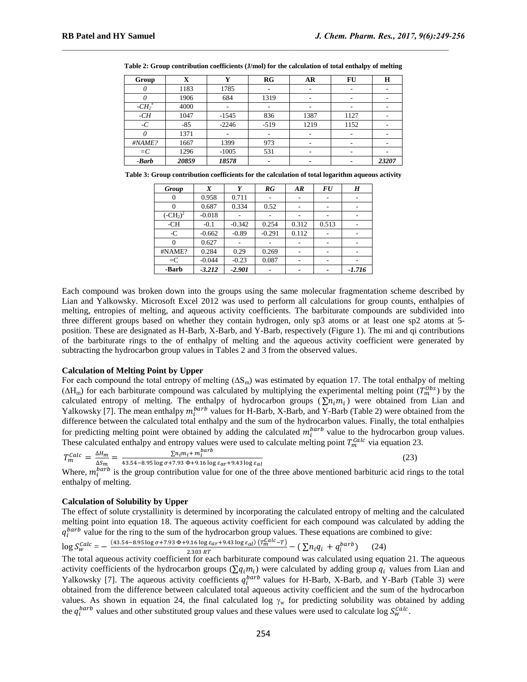| Group               | X     | Y       | RG                       | AR   | FU                       | $\bf H$                  |
|---------------------|-------|---------|--------------------------|------|--------------------------|--------------------------|
| 0                   | 1183  | 1785    | ٠                        | ٠    | $\overline{\phantom{a}}$ |                          |
| $\theta$            | 1906  | 684     | 1319                     | ٠    |                          | -                        |
| $-CH2$ <sup>*</sup> | 4000  |         |                          |      |                          | $\overline{\phantom{a}}$ |
| -CH                 | 1047  | $-1545$ | 836                      | 1387 | 1127                     | $\overline{\phantom{a}}$ |
| -C                  | $-85$ | $-2246$ | $-519$                   | 1219 | 1152                     | $\overline{\phantom{a}}$ |
|                     | 1371  |         |                          |      |                          |                          |
| #NAME?              | 1667  | 1399    | 973                      |      |                          | ۰                        |
| $=C$                | 1296  | $-1005$ | 531                      |      |                          |                          |
| -Barb               | 20859 | 18578   | $\overline{\phantom{a}}$ |      |                          | 23207                    |

**Table 2: Group contribution coefficients (J/mol) for the calculation of total enthalpy of melting**

 $\mathcal{L}_\text{max}$ 

| Table 3: Group contribution coefficients for the calculation of total logarithm aqueous activity |  |  |  |  |
|--------------------------------------------------------------------------------------------------|--|--|--|--|
|                                                                                                  |  |  |  |  |

| Group       | X        | Y        | RG       | AR    | <b>FU</b> | $\boldsymbol{H}$         |
|-------------|----------|----------|----------|-------|-----------|--------------------------|
| 0           | 0.958    | 0.711    |          |       |           | ۰                        |
| $\theta$    | 0.687    | 0.334    | 0.52     |       |           |                          |
| $(-CH_2)^2$ | $-0.018$ |          |          |       |           |                          |
| $-CH$       | $-0.1$   | $-0.342$ | 0.254    | 0.312 | 0.513     | $\overline{\phantom{a}}$ |
| $-C$        | $-0.662$ | $-0.89$  | $-0.291$ | 0.112 |           |                          |
|             | 0.627    |          |          |       |           |                          |
| #NAME?      | 0.284    | 0.29     | 0.269    |       |           |                          |
| $=C$        | $-0.044$ | $-0.23$  | 0.087    |       |           |                          |
| -Barb       | $-3.212$ | $-2.901$ |          |       |           | $-1.716$                 |

Each compound was broken down into the groups using the same molecular fragmentation scheme described by Lian and Yalkowsky. Microsoft Excel 2012 was used to perform all calculations for group counts, enthalpies of melting, entropies of melting, and aqueous activity coefficients. The barbiturate compounds are subdivided into three different groups based on whether they contain hydrogen, only sp3 atoms or at least one sp2 atoms at 5 position. These are designated as H-Barb, X-Barb, and Y-Barb, respectively (Figure 1). The mi and qi contributions of the barbiturate rings to the of enthalpy of melting and the aqueous activity coefficient were generated by subtracting the hydrocarbon group values in Tables 2 and 3 from the observed values.

### **Calculation of Melting Point by Upper**

For each compound the total entropy of melting  $(\Delta S_m)$  was estimated by equation 17. The total enthalpy of melting  $(\Delta H_m)$  for each barbiturate compound was calculated by multiplying the experimental melting point  $(T_m^{Obs})$  by the calculated entropy of melting. The enthalpy of hydrocarbon groups ( $\Sigma n_i m_i$ ) were obtained from Lian and Yalkowsky [\[7\]](#page-7-0). The mean enthalpy  $m_i^{bar}$  values for H-Barb, X-Barb, and Y-Barb (Table 2) were obtained from the difference between the calculated total enthalpy and the sum of the hydrocarbon values. Finally, the total enthalpies for predicting melting point were obtained by adding the calculated  $m_i^{bar}$  value to the hydrocarbon group values. These calculated enthalpy and entropy values were used to calculate melting point  $T_m^{Calc}$  via equation 23.

 $T_m^{Calc} = \frac{\Delta}{4}$  $\frac{\Delta H_m}{\Delta S_m} = \frac{\sum n_i m_i + m_i^b}{43.54 - 8.95 \log \sigma + 7.93 \Phi + 9.15}$  $\frac{\sum u_i n_i \pi n_i}{43.54 - 8.95 \log \sigma + 7.93 \Phi + 9.16 \log \varepsilon_{ar} + 9.43 \log \varepsilon_{al}}$  (23)

Where,  $m_i^{barb}$  is the group contribution value for one of the three above mentioned barbituric acid rings to the total enthalpy of melting.

# **Calculation of Solubility by Upper**

The effect of solute crystallinity is determined by incorporating the calculated entropy of melting and the calculated melting point into equation 18. The aqueous activity coefficient for each compound was calculated by adding the  $q_i^{barb}$  value for the ring to the sum of the hydrocarbon group values. These equations are combined to give:

$$
\log S_{w}^{Calc} = -\frac{(43.54 - 8.95 \log \sigma + 7.93 \Phi + 9.16 \log \epsilon_{ar} + 9.43 \log \epsilon_{al}) (T_{m}^{Calc} - T)}{2.303 RT} - (\sum n_{i} q_{i} + q_{i}^{barb}) \tag{24}
$$

The total aqueous activity coefficient for each barbiturate compound was calculated using equation 21. The aqueous activity coefficients of the hydrocarbon groups ( $\sum q_i m_i$ ) were calculated by adding group  $q_i$  values from Lian and Yalkowsky [\[7\]](#page-7-0). The aqueous activity coefficients  $q_i^{barb}$  values for H-Barb, X-Barb, and Y-Barb (Table 3) were obtained from the difference between calculated total aqueous activity coefficient and the sum of the hydrocarbon values. As shown in equation 24, the final calculated log  $\gamma_w$  for predicting solubility was obtained by adding the  $q_i^{barb}$  values and other substituted group values and these values were used to calculate log  $S_{w}^{Calc}$ .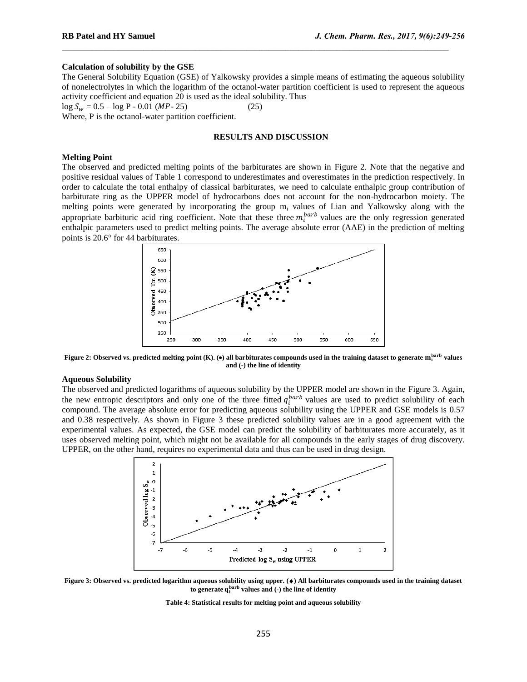# **Calculation of solubility by the GSE**

The General Solubility Equation (GSE) of Yalkowsky provides a simple means of estimating the aqueous solubility of nonelectrolytes in which the logarithm of the octanol-water partition coefficient is used to represent the aqueous activity coefficient and equation 20 is used as the ideal solubility. Thus

 $\mathcal{L}_\text{max}$ 

 $\log S_w = 0.5 - \log P - 0.01$  (*MP*-25) (25)

Where, P is the octanol-water partition coefficient.

# **RESULTS AND DISCUSSION**

# **Melting Point**

The observed and predicted melting points of the barbiturates are shown in Figure 2. Note that the negative and positive residual values of Table 1 correspond to underestimates and overestimates in the prediction respectively. In order to calculate the total enthalpy of classical barbiturates, we need to calculate enthalpic group contribution of barbiturate ring as the UPPER model of hydrocarbons does not account for the non-hydrocarbon moiety. The melting points were generated by incorporating the group m<sub>i</sub> values of Lian and Yalkowsky along with the appropriate barbituric acid ring coefficient. Note that these three  $m_l^{bar}$  values are the only regression generated enthalpic parameters used to predict melting points. The average absolute error (AAE) in the prediction of melting points is 20.6° for 44 barbiturates.



**Figure 2: Observed vs. predicted melting point (K). () all barbiturates compounds used in the training dataset to generate values and (-) the line of identity**

## **Aqueous Solubility**

The observed and predicted logarithms of aqueous solubility by the UPPER model are shown in the Figure 3. Again, the new entropic descriptors and only one of the three fitted  $q_i^{barb}$  values are used to predict solubility of each compound. The average absolute error for predicting aqueous solubility using the UPPER and GSE models is 0.57 and 0.38 respectively. As shown in Figure 3 these predicted solubility values are in a good agreement with the experimental values. As expected, the GSE model can predict the solubility of barbiturates more accurately, as it uses observed melting point, which might not be available for all compounds in the early stages of drug discovery. UPPER, on the other hand, requires no experimental data and thus can be used in drug design.



**Figure 3: Observed vs. predicted logarithm aqueous solubility using upper. () All barbiturates compounds used in the training dataset**  to generate  $q_i^{barb}$  values and (-) the line of identity

**Table 4: Statistical results for melting point and aqueous solubility**